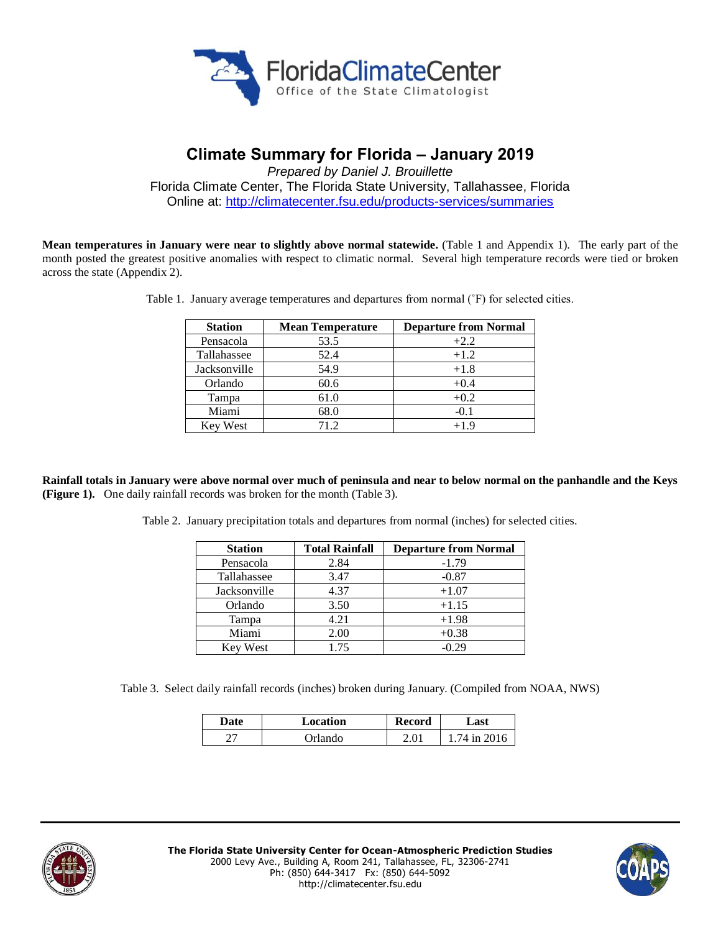

# **Climate Summary for Florida – January 2019**

*Prepared by Daniel J. Brouillette* Florida Climate Center, The Florida State University, Tallahassee, Florida Online at:<http://climatecenter.fsu.edu/products-services/summaries>

**Mean temperatures in January were near to slightly above normal statewide.** (Table 1 and Appendix 1). The early part of the month posted the greatest positive anomalies with respect to climatic normal. Several high temperature records were tied or broken across the state (Appendix 2).

| <b>Station</b><br><b>Mean Temperature</b> |      | <b>Departure from Normal</b> |  |
|-------------------------------------------|------|------------------------------|--|
| Pensacola                                 | 53.5 | $+2.2$                       |  |
| Tallahassee                               | 52.4 | $+1.2$                       |  |
| Jacksonville                              | 54.9 | $+1.8$                       |  |
| Orlando                                   | 60.6 | $+0.4$                       |  |
| Tampa                                     | 61.0 | $+0.2$                       |  |
| Miami                                     | 68.0 | $-0.1$                       |  |
| <b>Key West</b>                           | 71.2 | $+1.9$                       |  |

Table 1. January average temperatures and departures from normal (˚F) for selected cities.

**Rainfall totals in January were above normal over much of peninsula and near to below normal on the panhandle and the Keys (Figure 1).** One daily rainfall records was broken for the month (Table 3).

Table 2. January precipitation totals and departures from normal (inches) for selected cities.

| <b>Station</b> | <b>Total Rainfall</b> | <b>Departure from Normal</b> |
|----------------|-----------------------|------------------------------|
| Pensacola      | 2.84                  | $-1.79$                      |
| Tallahassee    | 3.47                  | $-0.87$                      |
| Jacksonville   | 4.37                  | $+1.07$                      |
| Orlando        | 3.50                  | $+1.15$                      |
| Tampa          | 4.21                  | $+1.98$                      |
| Miami          | 2.00                  | $+0.38$                      |
| Key West       | 1.75                  | $-0.29$                      |

Table 3. Select daily rainfall records (inches) broken during January. (Compiled from NOAA, NWS)

| Date      | Location       | Record | Last           |  |
|-----------|----------------|--------|----------------|--|
| רר<br>- 1 | <b>Drlando</b> | 2. Q1  | $74$ in $2016$ |  |



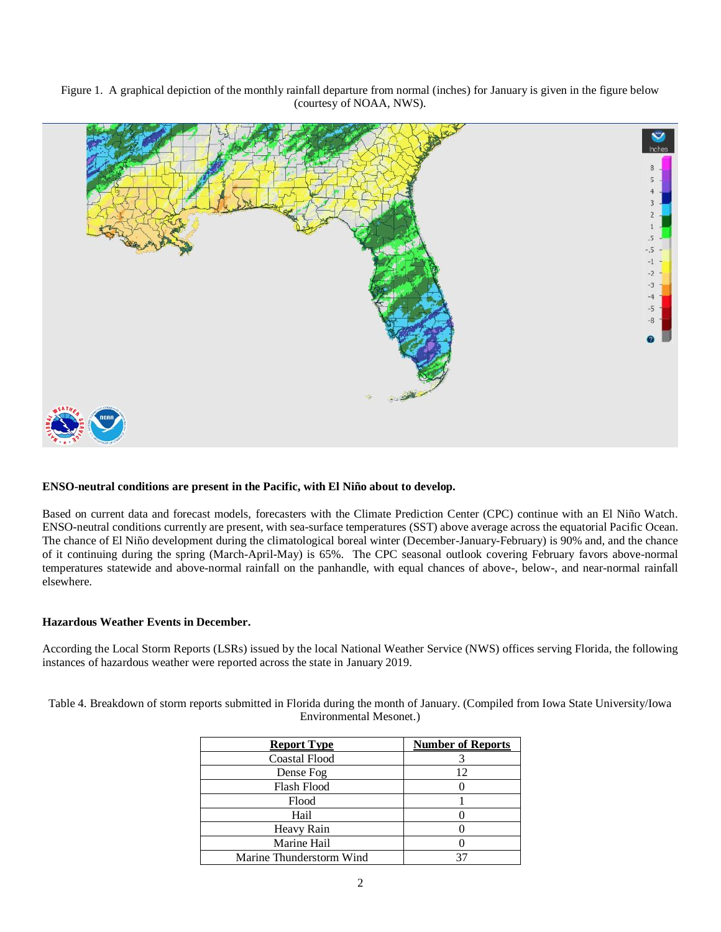Figure 1. A graphical depiction of the monthly rainfall departure from normal (inches) for January is given in the figure below (courtesy of NOAA, NWS).



## **ENSO-neutral conditions are present in the Pacific, with El Niño about to develop.**

Based on current data and forecast models, forecasters with the Climate Prediction Center (CPC) continue with an El Niño Watch. ENSO-neutral conditions currently are present, with sea-surface temperatures (SST) above average across the equatorial Pacific Ocean. The chance of El Niño development during the climatological boreal winter (December-January-February) is 90% and, and the chance of it continuing during the spring (March-April-May) is 65%. The CPC seasonal outlook covering February favors above-normal temperatures statewide and above-normal rainfall on the panhandle, with equal chances of above-, below-, and near-normal rainfall elsewhere.

#### **Hazardous Weather Events in December.**

According the Local Storm Reports (LSRs) issued by the local National Weather Service (NWS) offices serving Florida, the following instances of hazardous weather were reported across the state in January 2019.

Table 4. Breakdown of storm reports submitted in Florida during the month of January. (Compiled from Iowa State University/Iowa Environmental Mesonet.)

| <b>Report Type</b>       | <b>Number of Reports</b> |
|--------------------------|--------------------------|
| <b>Coastal Flood</b>     |                          |
| Dense Fog                | 12                       |
| Flash Flood              |                          |
| Flood                    |                          |
| Hail                     |                          |
| Heavy Rain               |                          |
| Marine Hail              |                          |
| Marine Thunderstorm Wind |                          |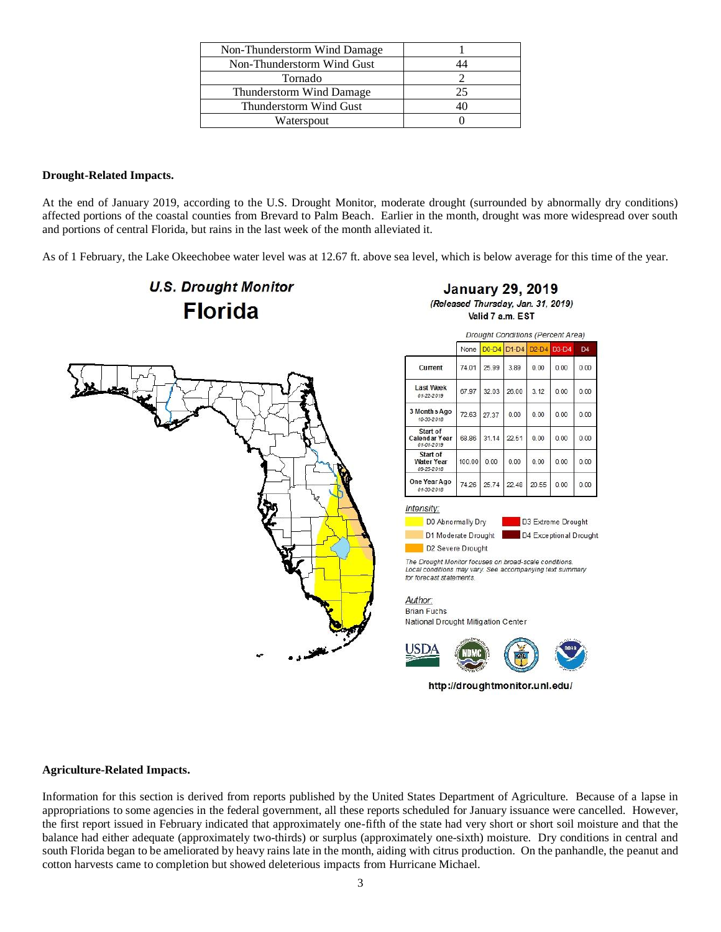| Non-Thunderstorm Wind Damage |    |
|------------------------------|----|
| Non-Thunderstorm Wind Gust   |    |
| Tornado                      |    |
| Thunderstorm Wind Damage     | 25 |
| Thunderstorm Wind Gust       |    |
| Waterspout                   |    |

### **Drought-Related Impacts.**

At the end of January 2019, according to the U.S. Drought Monitor, moderate drought (surrounded by abnormally dry conditions) affected portions of the coastal counties from Brevard to Palm Beach. Earlier in the month, drought was more widespread over south and portions of central Florida, but rains in the last week of the month alleviated it.

As of 1 February, the Lake Okeechobee water level was at 12.67 ft. above sea level, which is below average for this time of the year.

D4

 $0.00$ 

 $0.00$ 

 $0.00$ 

 $0.00$ 

 $0.00$ 

 $0.00$ 



#### **Agriculture-Related Impacts.**

Information for this section is derived from reports published by the United States Department of Agriculture. Because of a lapse in appropriations to some agencies in the federal government, all these reports scheduled for January issuance were cancelled. However, the first report issued in February indicated that approximately one-fifth of the state had very short or short soil moisture and that the balance had either adequate (approximately two-thirds) or surplus (approximately one-sixth) moisture. Dry conditions in central and south Florida began to be ameliorated by heavy rains late in the month, aiding with citrus production. On the panhandle, the peanut and cotton harvests came to completion but showed deleterious impacts from Hurricane Michael.